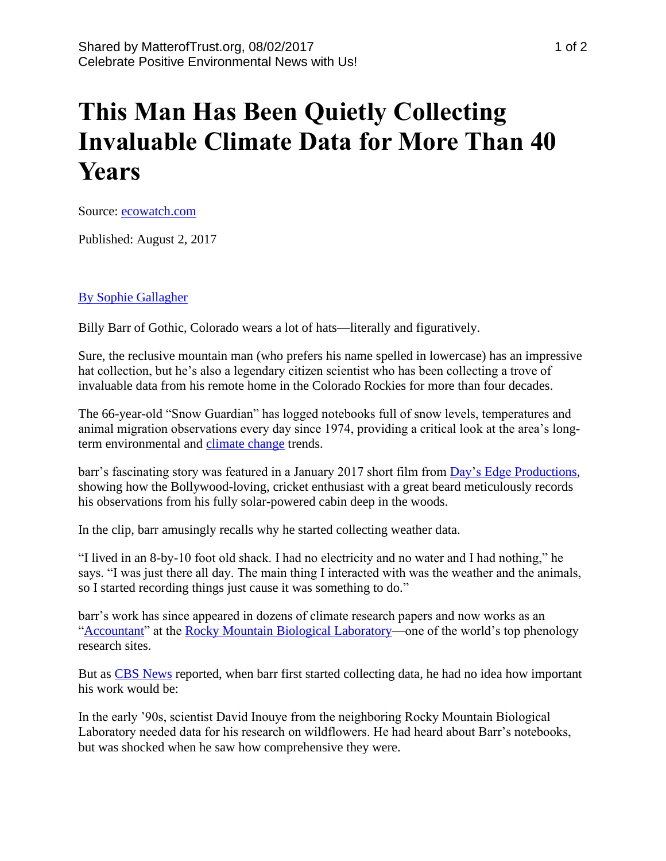## **This Man Has Been Quietly Collecting Invaluable Climate Data for More Than 40 Years**

Source: [ecowatch.com](https://www.ecowatch.com/climate-change-billy-barr-2467593091.html)

Published: August 2, 2017

## [By Sophie Gallagher](https://www.huffingtonpost.co.uk/author/sophie-gallagher)

Billy Barr of Gothic, Colorado wears a lot of hats—literally and figuratively.

Sure, the reclusive mountain man (who prefers his name spelled in lowercase) has an impressive hat collection, but he's also a legendary citizen scientist who has been collecting a trove of invaluable data from his remote home in the Colorado Rockies for more than four decades.

The 66-year-old "Snow Guardian" has logged notebooks full of snow levels, temperatures and animal migration observations every day since 1974, providing a critical look at the area's longterm environmental and [climate change](https://www.ecowatch.com/climate-change/) trends.

barr's fascinating story was featured in a January 2017 short film from [Day's Edge Productions,](http://www.daysedge.com/) showing how the Bollywood-loving, cricket enthusiast with a great beard meticulously records his observations from his fully solar-powered cabin deep in the woods.

In the clip, barr amusingly recalls why he started collecting weather data.

"I lived in an 8-by-10 foot old shack. I had no electricity and no water and I had nothing," he says. "I was just there all day. The main thing I interacted with was the weather and the animals, so I started recording things just cause it was something to do."

barr's work has since appeared in dozens of climate research papers and now works as an ["Accountant"](http://www.rmbl.org/about-us-2/our-staff-2/) at the [Rocky Mountain Biological](http://www.rmbl.org/) Laboratory—one of the world's top phenology research sites.

But as [CBS News](http://www.cbsnews.com/news/colorado-billy-barr-climate-diarist-snow-wildlife-records/) reported, when barr first started collecting data, he had no idea how important his work would be:

In the early '90s, scientist David Inouye from the neighboring Rocky Mountain Biological Laboratory needed data for his research on wildflowers. He had heard about Barr's notebooks, but was shocked when he saw how comprehensive they were.